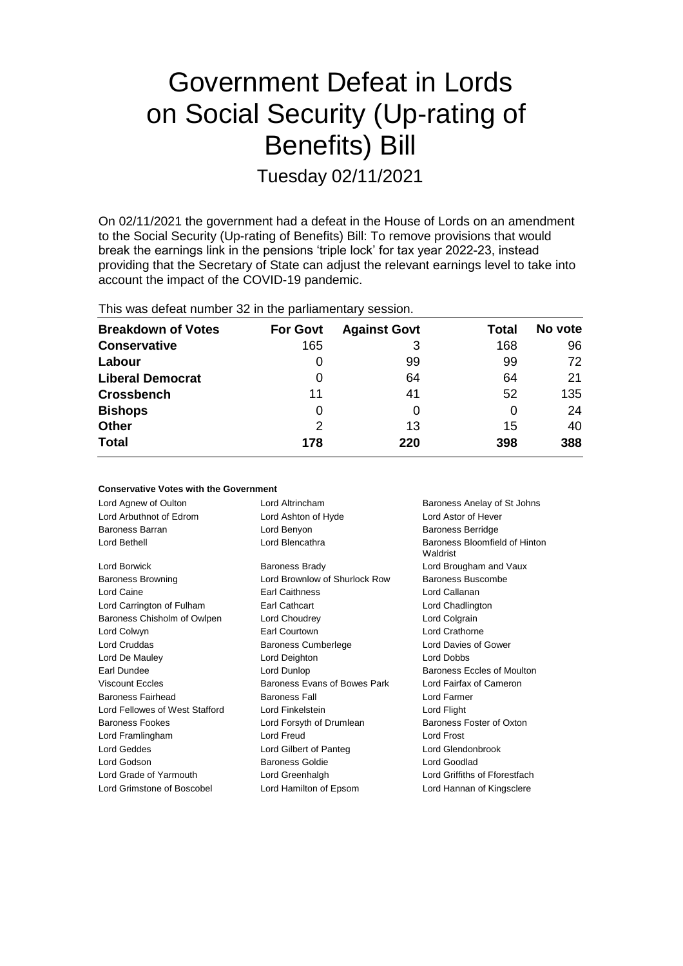# Government Defeat in Lords on Social Security (Up-rating of Benefits) Bill

Tuesday 02/11/2021

On 02/11/2021 the government had a defeat in the House of Lords on an amendment to the Social Security (Up-rating of Benefits) Bill: To remove provisions that would break the earnings link in the pensions 'triple lock' for tax year 2022-23, instead providing that the Secretary of State can adjust the relevant earnings level to take into account the impact of the COVID-19 pandemic.

This was defeat number 32 in the parliamentary session.

| <b>Breakdown of Votes</b> | <b>For Govt</b> | <b>Against Govt</b> | Total | No vote |
|---------------------------|-----------------|---------------------|-------|---------|
| <b>Conservative</b>       | 165             | 3                   | 168   | 96      |
| Labour                    | O               | 99                  | 99    | 72      |
| <b>Liberal Democrat</b>   | 0               | 64                  | 64    | 21      |
| <b>Crossbench</b>         | 11              | 41                  | 52    | 135     |
| <b>Bishops</b>            | 0               | 0                   | 0     | 24      |
| <b>Other</b>              | 2               | 13                  | 15    | 40      |
| <b>Total</b>              | 178             | 220                 | 398   | 388     |

#### **Conservative Votes with the Government**

| Lord Agnew of Oulton           | Lord Altrincham               | Baroness Anelay of St Johns               |
|--------------------------------|-------------------------------|-------------------------------------------|
| Lord Arbuthnot of Edrom        | Lord Ashton of Hyde           | Lord Astor of Hever                       |
| Baroness Barran                | Lord Benyon                   | <b>Baroness Berridge</b>                  |
| Lord Bethell                   | Lord Blencathra               | Baroness Bloomfield of Hinton<br>Waldrist |
| Lord Borwick                   | <b>Baroness Brady</b>         | Lord Brougham and Vaux                    |
| <b>Baroness Browning</b>       | Lord Brownlow of Shurlock Row | Baroness Buscombe                         |
| Lord Caine                     | <b>Earl Caithness</b>         | Lord Callanan                             |
| Lord Carrington of Fulham      | Earl Cathcart                 | Lord Chadlington                          |
| Baroness Chisholm of Owlpen    | Lord Choudrey                 | Lord Colgrain                             |
| Lord Colwyn                    | Earl Courtown                 | Lord Crathorne                            |
| Lord Cruddas                   | <b>Baroness Cumberlege</b>    | Lord Davies of Gower                      |
| Lord De Mauley                 | Lord Deighton                 | Lord Dobbs                                |
| Earl Dundee                    | Lord Dunlop                   | Baroness Eccles of Moulton                |
| <b>Viscount Eccles</b>         | Baroness Evans of Bowes Park  | Lord Fairfax of Cameron                   |
| <b>Baroness Fairhead</b>       | <b>Baroness Fall</b>          | Lord Farmer                               |
| Lord Fellowes of West Stafford | Lord Finkelstein              | Lord Flight                               |
| <b>Baroness Fookes</b>         | Lord Forsyth of Drumlean      | Baroness Foster of Oxton                  |
| Lord Framlingham               | Lord Freud                    | <b>Lord Frost</b>                         |
| <b>Lord Geddes</b>             | Lord Gilbert of Panteg        | Lord Glendonbrook                         |
| Lord Godson                    | <b>Baroness Goldie</b>        | Lord Goodlad                              |
| Lord Grade of Yarmouth         | Lord Greenhalgh               | Lord Griffiths of Fforestfach             |
| Lord Grimstone of Boscobel     | Lord Hamilton of Epsom        | Lord Hannan of Kingsclere                 |
|                                |                               |                                           |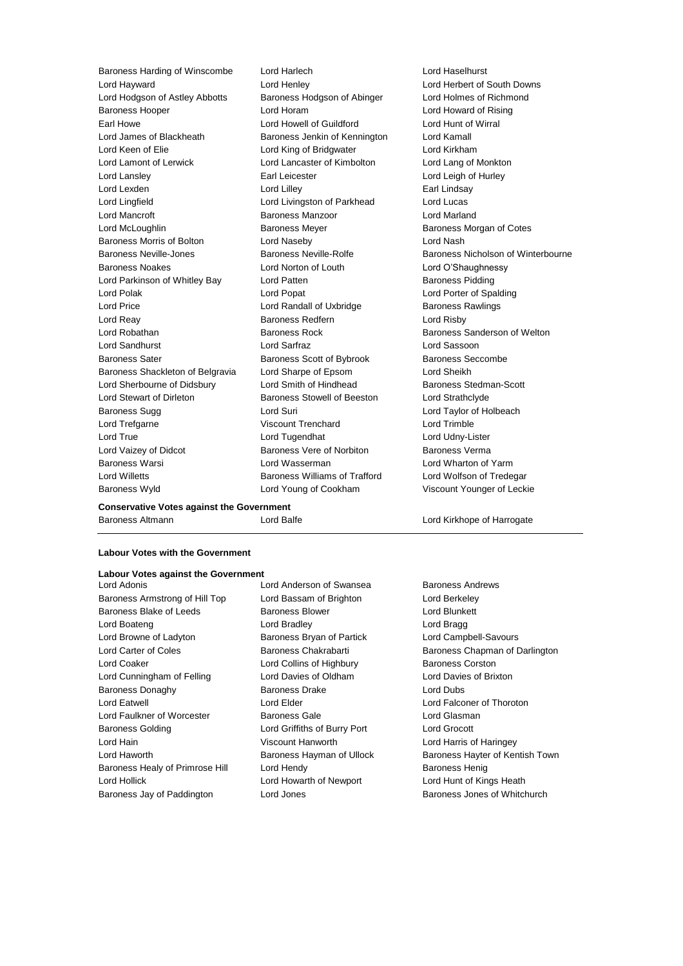Lord Hayward **Lord Henley** Lord Henley **Lord Henley** Lord Herbert of South Downs<br>
Lord Hodason of Astley Abbotts Baroness Hodason of Abinger Lord Holmes of Richmond Lord Hodgson of Astley Abbotts Baroness Hodgson of Abinger Baroness Hooper Lord Horam Lord Howard of Rising Earl Howe Lord Howell of Guildford Lord Hunt of Wirral Lord James of Blackheath **Baroness Jenkin of Kennington** Lord Kamall Lord Keen of Elie **Lord King of Bridgwater** Lord Kirkham Lord Lamont of Lerwick Lord Lancaster of Kimbolton Lord Lang of Monkton Lord Lansley Earl Leicester Lord Leigh of Hurley Lord Lexden **Lord Lindsay** Lord Lilley **Communist Communist Communist Communist Communist Communist Communist Communist Communist Communist Communist Communist Communist Communist Communist Communist Communist Communist Co** Lord Lingfield Lord Livingston of Parkhead Lord Lucas Lord Mancroft Baroness Manzoor Lord Marland Lord McLoughlin **Baroness Meyer** Baroness Meyer **Baroness Morgan of Cotes** Baroness Morris of Bolton Lord Naseby Lord Nash Baroness Noakes Lord Norton of Louth Lord O'Shaughnessy Lord Parkinson of Whitley Bay Lord Patten **Baroness Pidding** Baroness Pidding Lord Polak Lord Popat Lord Porter of Spalding Lord Price Lord Randall of Uxbridge Baroness Rawlings Lord Reay **Baroness Redfern Example 20** Lord Risby Lord Robathan Baroness Rock Baroness Sanderson of Welton Lord Sandhurst Lord Sarfraz Lord Sassoon Baroness Sater Baroness Scott of Bybrook Baroness Seccombe Baroness Shackleton of Belgravia Lord Sharpe of Epsom Lord Sheikh Lord Sherbourne of Didsbury **Lord Smith of Hindhead** Baroness Stedman-Scott Lord Stewart of Dirleton Baroness Stowell of Beeston Lord Strathclyde Baroness Sugg **Lord Suri Lord Suri Lord Taylor of Holbeach Corresponding Corresponding Corresponding Corresponding Corresponding Corresponding Corresponding Corresponding Corresponding Corresponding Corresponding Corresp** Lord Trefgarne Viscount Trenchard Lord Trimble Lord True Lord Tugendhat Lord Udny-Lister Lord Vaizey of Didcot **Baroness Vere of Norbiton** Baroness Verma Baroness Warsi Lord Wasserman Lord Wharton of Yarm Lord Willetts Baroness Williams of Trafford Lord Wolfson of Tredegar Baroness Wyld Lord Young of Cookham Viscount Younger of Leckie

Baroness Harding of Winscombe Lord Harlech Lord Haselhurst

Baroness Neville-Jones **Baroness Neville-Rolfe** Baroness Networks Nicholson of Winterbourne

**Conservative Votes against the Government** Baroness Altmann **Lord Balfe** Lord Balfe **Lord Kirkhope of Harrogate** 

# **Labour Votes with the Government**

#### **Labour Votes against the Government**

Baroness Armstrong of Hill Top Lord Bassam of Brighton Lord Berkeley Baroness Blake of Leeds **Baroness Blower** Baroness Blower **Lord Blunkett** Lord Boateng Lord Bradley Lord Bragg Lord Browne of Ladyton **Baroness Bryan of Partick** Lord Campbell-Savours Lord Coaker **Lord Collins of Highbury** Baroness Corston Lord Cunningham of Felling Lord Davies of Oldham Lord Davies of Brixton Baroness Donaghy **Baroness Drake** Lord Dubs Lord Eatwell Lord Elder Lord Falconer of Thoroton Lord Faulkner of Worcester **Baroness Gale Baroness Gale** Lord Glasman Baroness Golding Lord Griffiths of Burry Port Lord Grocott Lord Hain Viscount Hanworth Lord Harris of Haringey Baroness Healy of Primrose Hill Lord Hendy **Baroness Henig** Baroness Henig Lord Hollick Lord Howarth of Newport Lord Hunt of Kings Heath Baroness Jay of Paddington **Lord Jones Baroness Jones of Whitchurch** Baroness Jones of Whitchurch

Lord Adonis Lord Anderson of Swansea Baroness Andrews

Lord Carter of Coles **Baroness Chakrabarti** Baroness Chapman of Darlington Lord Haworth **Baroness Hayman of Ullock** Baroness Hayter of Kentish Town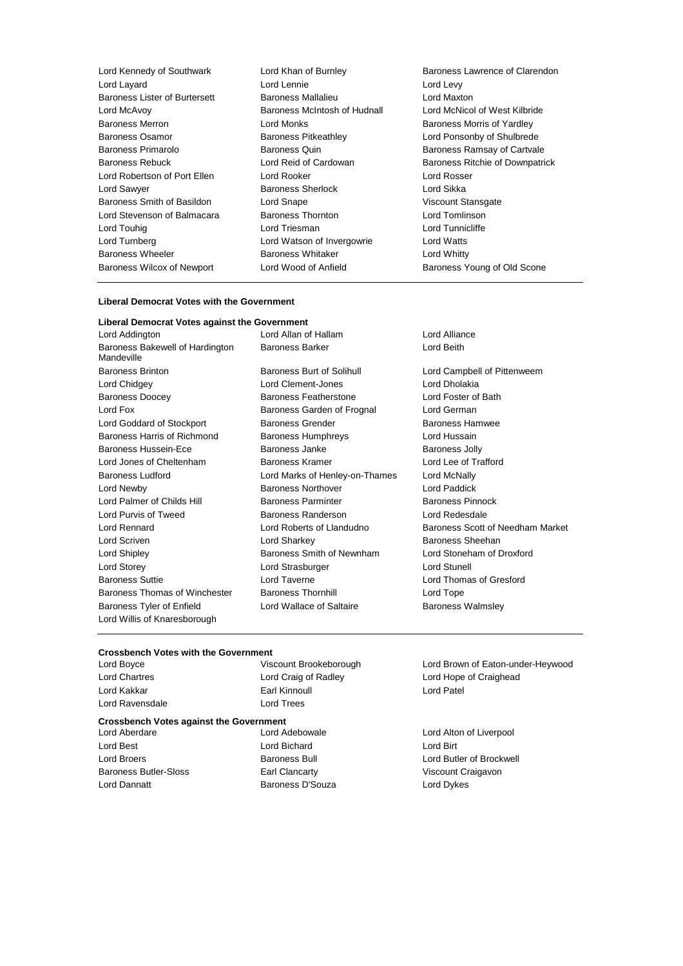| Lord Kennedy of Southwark     | Lord Khan of Burnley         | Baroness Lawrence of Clarendon  |  |
|-------------------------------|------------------------------|---------------------------------|--|
| Lord Layard                   | Lord Lennie                  | Lord Levy                       |  |
| Baroness Lister of Burtersett | Baroness Mallalieu           | Lord Maxton                     |  |
| Lord McAvoy                   | Baroness McIntosh of Hudnall | Lord McNicol of West Kilbride   |  |
| <b>Baroness Merron</b>        | Lord Monks                   | Baroness Morris of Yardley      |  |
| Baroness Osamor               | <b>Baroness Pitkeathley</b>  | Lord Ponsonby of Shulbrede      |  |
| Baroness Primarolo            | <b>Baroness Quin</b>         | Baroness Ramsay of Cartvale     |  |
| Baroness Rebuck               | Lord Reid of Cardowan        | Baroness Ritchie of Downpatrick |  |
| Lord Robertson of Port Ellen  | Lord Rooker                  | Lord Rosser                     |  |
| Lord Sawyer                   | Baroness Sherlock            | Lord Sikka                      |  |
| Baroness Smith of Basildon    | Lord Snape                   | <b>Viscount Stansgate</b>       |  |
| Lord Stevenson of Balmacara   | Baroness Thornton            | Lord Tomlinson                  |  |
| Lord Touhig                   | Lord Triesman                | Lord Tunnicliffe                |  |
| Lord Turnberg                 | Lord Watson of Invergowrie   | Lord Watts                      |  |
| <b>Baroness Wheeler</b>       | Baroness Whitaker            | Lord Whitty                     |  |
| Baroness Wilcox of Newport    | Lord Wood of Anfield         | Baroness Young of Old Scone     |  |

#### **Liberal Democrat Votes with the Government**

#### **Liberal Democrat Votes against the Government**

| Lord Addington                                | Lor |
|-----------------------------------------------|-----|
| Baroness Bakewell of Hardington<br>Mandeville | Bai |
| <b>Baroness Brinton</b>                       | Bai |
| Lord Chidgey                                  | Lor |
| <b>Baroness Doocey</b>                        | Bai |
| Lord Fox                                      | Baı |
| Lord Goddard of Stockport                     | Ba  |
| Baroness Harris of Richmond                   | Ba  |
| Baroness Hussein-Ece                          | Ba  |
| Lord Jones of Cheltenham                      | Bai |
| Baroness Ludford                              | Lor |
| Lord Newby                                    | Ba  |
| Lord Palmer of Childs Hill                    | Bai |
| Lord Purvis of Tweed                          | Bai |
| Lord Rennard                                  | Lor |
| Lord Scriven                                  | Lor |
| Lord Shipley                                  | Bai |
| Lord Storey                                   | Lor |
| <b>Baroness Suttie</b>                        | Lor |
| Baroness Thomas of Winchester                 | Bai |
| Baroness Tyler of Enfield                     | Lor |
| Lord Willis of Knaresborough                  |     |
|                                               |     |

roness Burt of Solihull **Example Baroness Burt of Solihull** Lord Campbell of Pittenweem rd Clement-Jones Lord Dholakia roness Featherstone **Barone** Lord Foster of Bath roness Garden of Frognal Lord German roness Grender **Communist Baroness Hamwee** roness Humphreys **Example Baroness Humphreys** Lord Hussain roness Janke **Baroness Jolly** roness Kramer **Lord Lee of Trafford** rd Marks of Henley-on-Thames Lord McNally roness Northover **Lord Paddick** roness Parminter **Execute Parminter** Baroness Pinnock roness Randerson **Lord Redesdale** rd Sharkey **Baroness** Sheehan roness Smith of Newnham Lord Stoneham of Droxford rd Strasburger **Lord Stunell** rd Taverne **Example 20** Lord Thomas of Gresford roness Thornhill **Example 20** Lord Tope rd Wallace of Saltaire **Baroness Walmsley** 

rd Allan of Hallam **Lord Alliance** roness Barker **Lord Beith** 

rd Roberts of Llandudno Baroness Scott of Needham Market

# **Crossbench Votes with the Government**

Lord Ravensdale Lord Trees

Lord Kakkar Earl Kinnoull Lord Patel

### **Crossbench Votes against the Government**

Lord Aberdare Lord Adebowale Lord Alton of Liverpool Lord Best Lord Bichard Lord Birt Baroness Butler-Sloss **Earl Clancarty** Earl Clancarty **Viscount Craigavon** Lord Dannatt Baroness D'Souza Lord Dykes

Lord Brown of Eaton-under-Heywood Lord Chartres Lord Craig of Radley Lord Hope of Craighead

Lord Broers **Baroness Bull** Lord Butler of Brockwell